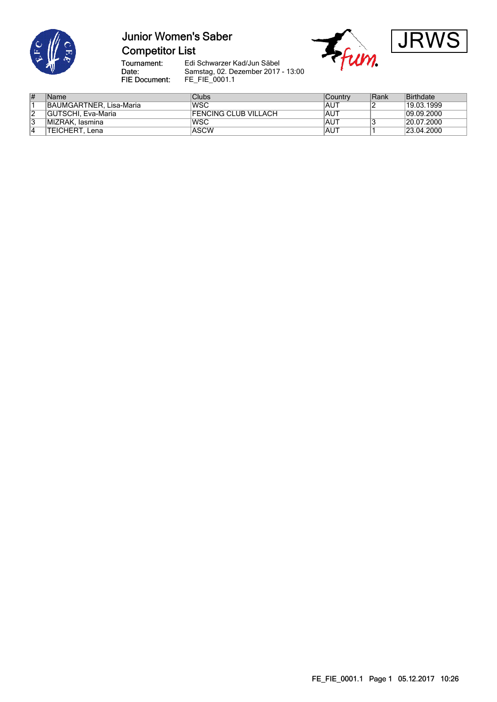

# **Junior Women's Saber Competitor List**



Tournament:<br>Date: FIE Document:

Edi Schwarzer Kad/Jun Säbel Samstag, 02. Dezember 2017 - 13:00 FE\_FIE\_0001.1

| #      | Name                      | <b>Clubs</b>          | Countrv     | Rank | Birthdate  |
|--------|---------------------------|-----------------------|-------------|------|------------|
|        | BAUMGARTNER, Lisa-Maria   | 'WSC                  | <b>IAUT</b> |      | 19.03.1999 |
| ົ<br>∠ | <b>GUTSCHI, Eva-Maria</b> | IFENCING CLUB VILLACH | <b>AUT</b>  |      | 09.09.2000 |
| 3      | IMIZRAK, lasmina          | WSC                   | <b>IAUT</b> |      | 20.07.2000 |
|        | TEICHERT. Lena            | ASCW                  | <b>IAUT</b> |      | 23.04.2000 |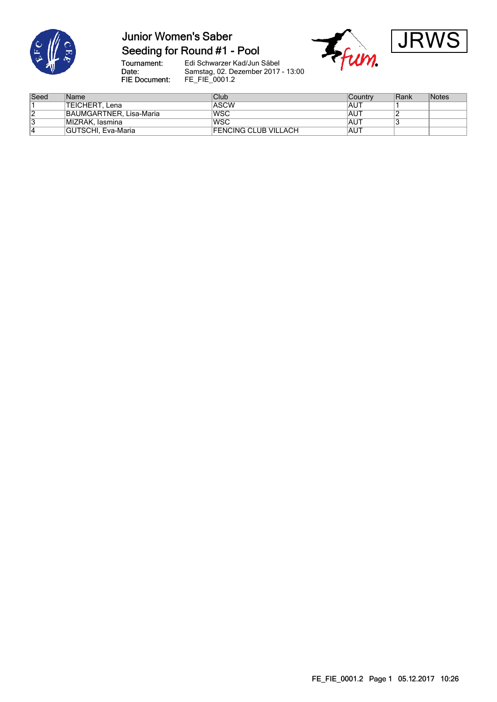

# **Junior Women's Saber**

### Seeding for Round #1 - Pool





Tournament:<br>Date: Edi Schwarzer Kad/Jun Säbel Samstag, 02. Dezember 2017 - 13:00 FIE Document: FE\_FIE\_0001.2

| Seed | Name                    | Club                        | ∣Countrv    | Rank | Notes |
|------|-------------------------|-----------------------------|-------------|------|-------|
|      | TEICHERT. Lena          | <b>ASCW</b>                 | <b>IAUT</b> |      |       |
| ۷    | BAUMGARTNER, Lisa-Maria | lwsc                        | <b>IAUT</b> |      |       |
| د    | MIZRAK, lasmina         | <b>WSC</b>                  | <b>IAUT</b> |      |       |
| 4    | GUTSCHI. Eva-Maria      | <b>FENCING CLUB VILLACH</b> | <b>IAUT</b> |      |       |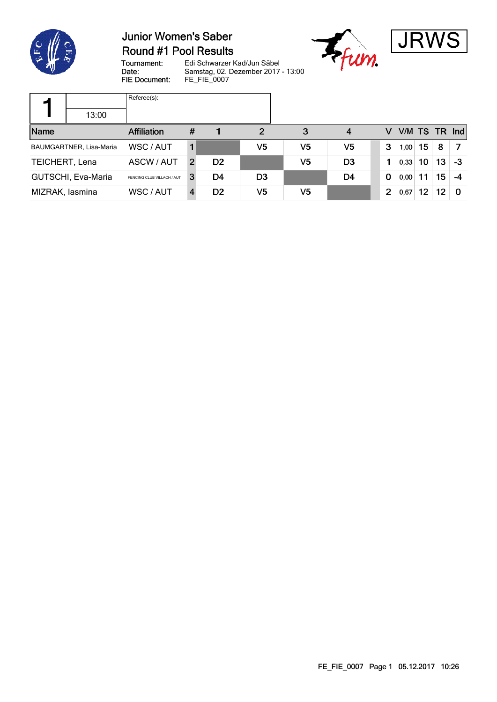

**T** 

### **Junior Women's Saber** Round #1 Pool Results





Tournament: Edi Schwarzer Kad/Jun Säbel Date: Samstag, 02. Dezember 2017 - 13:00 FIE Document: FE\_FIE\_0007

|                 |                         | Referee(s):                |   |                |                |                |                |                |               |    |                 |    |
|-----------------|-------------------------|----------------------------|---|----------------|----------------|----------------|----------------|----------------|---------------|----|-----------------|----|
|                 | 13:00                   |                            |   |                |                |                |                |                |               |    |                 |    |
| Name            |                         | <b>Affiliation</b>         | # |                | $\overline{2}$ | 3              | 4              | v              | V/M TS TR Ind |    |                 |    |
|                 | BAUMGARTNER, Lisa-Maria | WSC / AUT                  |   |                | V <sub>5</sub> | V5             | V5             | 3              | 1,00          | 15 | 8               |    |
| TEICHERT, Lena  |                         | ASCW / AUT                 | 2 | D <sub>2</sub> |                | V5             | D <sub>3</sub> | 1              | 0,33          | 10 | 13              | -3 |
|                 | GUTSCHI, Eva-Maria      | FENCING CLUB VILLACH / AUT | 3 | D4             | D <sub>3</sub> |                | D4             | $\bf{0}$       | 0,00          | 11 | 15 <sub>1</sub> | -4 |
| MIZRAK, lasmina |                         | WSC / AUT                  |   | D <sub>2</sub> | V5             | V <sub>5</sub> |                | $\overline{2}$ | 0,67          | 12 | 12              | 0  |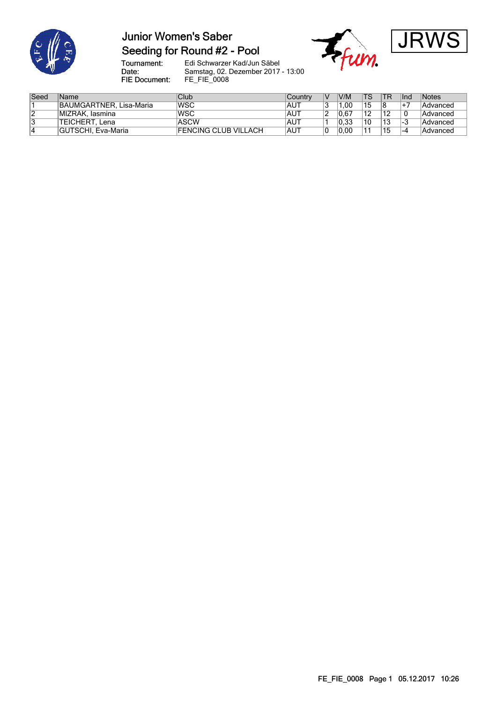

# **Junior Women's Saber**







Tournament:<br>Date: FIE Document:

Edi Schwarzer Kad/Jun Säbel Samstag, 02. Dezember 2017 - 13:00 FE\_FIE\_0008

| Seed | Name                    | Club                 | Country    | ΙV | V/M  | TS  | <b>TR</b> | llnd  | <i>Notes</i> |
|------|-------------------------|----------------------|------------|----|------|-----|-----------|-------|--------------|
|      | BAUMGARTNER, Lisa-Maria | lWSC                 | AUT        |    | .00  | 15  |           |       | Advanced     |
| 12   | MIZRAK, Iasmina         | WSC                  | AUT        |    | 0.67 | 12  |           | 0     | Advanced     |
| 13   | TEICHERT.<br>. Lena     | ASCW                 | <b>AUT</b> |    | 0.33 | .10 | 12<br>ں ا | ن-⊢   | Advanced     |
|      | GUTSCHI, Eva-Maria      | FENCING CLUB VILLACH | <b>AUT</b> | ັ  | 0.00 | 11  | 15        | I – 4 | Advanced     |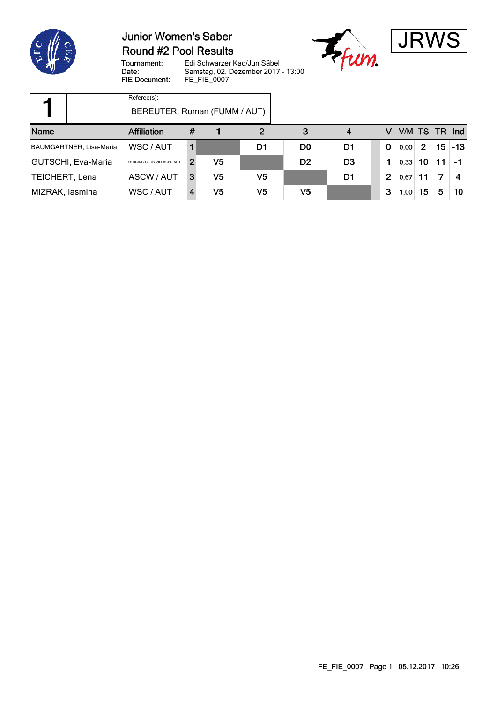

### **Junior Women's Saber Round #2 Pool Results**





Edi Schwarzer Kad/Jun Säbel Tournament: Date: Samstag, 02. Dezember 2017 - 13:00 FIE Document: FE\_FIE\_0007

|                 |                         | Referee(s):<br>BEREUTER, Roman (FUMM / AUT) |   |    |    |                |                |   |      |               |    |                 |
|-----------------|-------------------------|---------------------------------------------|---|----|----|----------------|----------------|---|------|---------------|----|-----------------|
| Name            |                         | Affiliation                                 | # |    | 2  | 3              | 4              | v |      |               |    | V/M TS TR $Ind$ |
|                 | BAUMGARTNER, Lisa-Maria | WSC / AUT                                   |   |    | D1 | D <sub>0</sub> | D1             | 0 | 0,00 | $\mathcal{P}$ |    | $15 - 13$       |
|                 | GUTSCHI, Eva-Maria      | FENCING CLUB VILLACH / AUT                  | 2 | V5 |    | D <sub>2</sub> | D <sub>3</sub> |   | 0,33 | 10            | 11 |                 |
| TEICHERT, Lena  |                         | ASCW / AUT                                  | 3 | V5 | V5 |                | D1             | 2 | 0,67 | 11            |    |                 |
| MIZRAK, lasmina |                         | WSC / AUT                                   |   | V5 | V5 | V5             |                | 3 | 1,00 | 15            | 5  | 10              |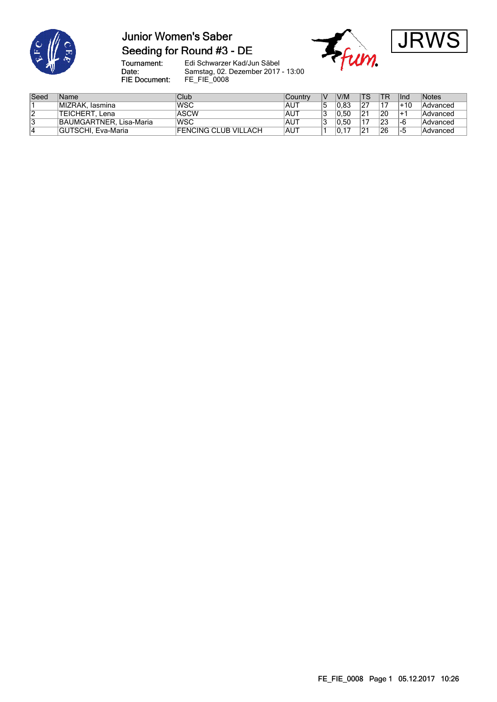

### **Junior Women's Saber** Seeding for Round #3 - DE





Tournament:<br>Date: FIE Document:

Edi Schwarzer Kad/Jun Säbel Samstag, 02. Dezember 2017 - 13:00 FE\_FIE\_0008

| Seed | Name                      | Club                        | Country    | IV      | V/M  | TS.            | <b>TR</b> | <b>I</b> nd      | Notes           |
|------|---------------------------|-----------------------------|------------|---------|------|----------------|-----------|------------------|-----------------|
|      | MIZRAK, Iasmina           | <b>IWSC</b>                 | AUT        | 5       | 0.83 |                | - -       | $+10$            | Advanced        |
| ∣∠   | <b>TEICHERT</b><br>. Lena | <b>ASCW</b>                 | AUT        | G<br>IJ | 0.50 | 21             | 20        | $+$ <sup>-</sup> | Advanced        |
| 13   | BAUMGARTNER, Lisa-Maria   | <b>WSC</b>                  | AUT        | 2<br>IJ | 0.50 |                | 23        | 1-6              | Advanced        |
|      | GUTSCHI, Eva-Maria        | <b>FENCING CLUB VILLACH</b> | <b>AUT</b> |         | v.   | 2 <sup>1</sup> | 26        | -5               | <b>Advanced</b> |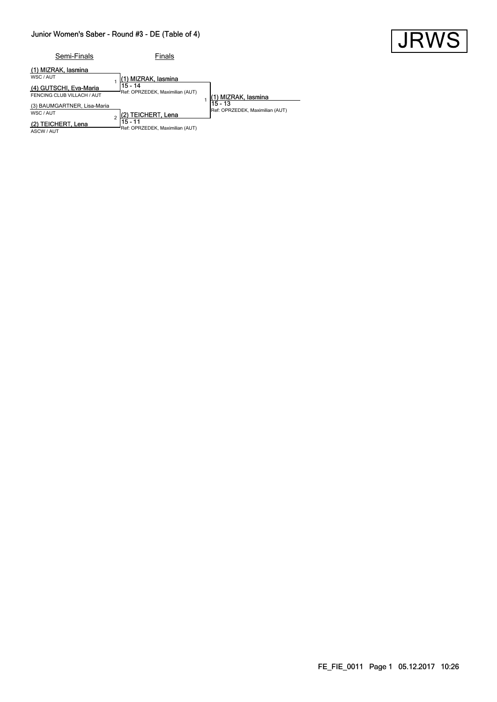#### Junior Women's Saber - Round #3 - DE (Table of 4)



| Semi-Finals                                          | Finals                                     |                                              |
|------------------------------------------------------|--------------------------------------------|----------------------------------------------|
| (1) MIZRAK, lasmina<br>WSC/AUT                       | 1) MIZRAK, lasmina                         |                                              |
| (4) GUTSCHI, Eva-Maria<br>FENCING CLUB VILLACH / AUT | 15 - 14<br>Ref: OPRZEDEK, Maximilian (AUT) | 1) MIZRAK, lasmina                           |
| (3) BAUMGARTNER, Lisa-Maria<br>WSC/AUT               | (2) TEICHERT, Lena                         | $15 - 13$<br>Ref: OPRZEDEK, Maximilian (AUT) |
| 2) TEICHERT, Lena<br>ASCW / AUT                      | 15 - 11<br>Ref: OPRZEDEK, Maximilian (AUT) |                                              |

FE\_FIE\_0011 Page 1 05.12.2017 10:26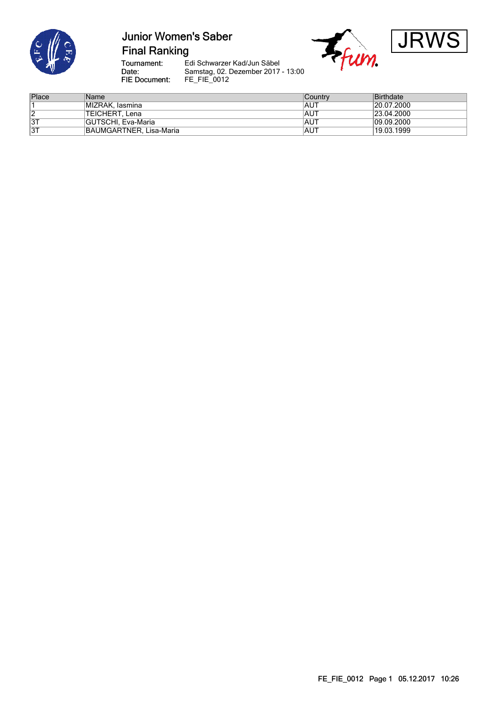

# **Junior Women's Saber Final Ranking**



Tournament:<br>Date: FIE Document:

Edi Schwarzer Kad/Jun Säbel Samstag, 02. Dezember 2017 - 13:00 FE\_FIE\_0012

| Place | Name                    | Country     | Birthdate  |
|-------|-------------------------|-------------|------------|
|       | MIZRAK. Iasmina         | <b>IAUT</b> | 20.07.2000 |
| ے     | TEICHERT, Lena          | <b>IAUT</b> | 23.04.2000 |
| 3T    | GUTSCHI, Eva-Maria      | <b>IAUT</b> | 09.09.2000 |
| 3T    | BAUMGARTNER, Lisa-Maria | <b>IAUT</b> | 19.03.1999 |